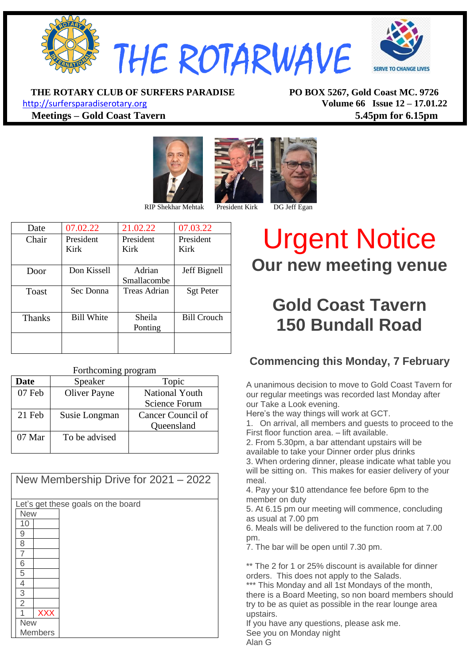

**THE ROTARY CLUB OF SURFERS PARADISE PO BOX 5267, Gold Coast MC. 9726**

[http://surfersparadiserotary.org](http://surfersparadiserotary.org/) **Volume 66 Issue 12 – 17.01.22 Meetings – Gold Coast Tavern 5.45pm for 6.15pm**





RIP Shekhar Mehtak President Kirk DG Jeff Egan

| Date          | 07.02.22          | 21.02.22     | 07.03.22           |
|---------------|-------------------|--------------|--------------------|
| Chair         | President         | President    | President          |
|               | Kirk              | Kirk         | Kirk               |
|               |                   |              |                    |
| Door          | Don Kissell       | Adrian       | Jeff Bignell       |
|               |                   | Smallacombe  |                    |
| Toast         | Sec Donna         | Treas Adrian | <b>Sgt Peter</b>   |
|               |                   |              |                    |
| <b>Thanks</b> | <b>Bill White</b> | Sheila       | <b>Bill Crouch</b> |
|               |                   | Ponting      |                    |
|               |                   |              |                    |
|               |                   |              |                    |

| Forthcoming program |                     |                       |  |
|---------------------|---------------------|-----------------------|--|
| <b>Date</b>         | Speaker             | Topic                 |  |
| 07 Feb              | <b>Oliver Payne</b> | <b>National Youth</b> |  |
|                     |                     | <b>Science Forum</b>  |  |
| 21 Feb              | Susie Longman       | Cancer Council of     |  |
|                     |                     | Queensland            |  |
| $07$ Mar            | To be advised       |                       |  |
|                     |                     |                       |  |

| New Membership Drive for 2021 - 2022 |  |  |  |  |
|--------------------------------------|--|--|--|--|
| Let's get these goals on the board   |  |  |  |  |
| <b>New</b>                           |  |  |  |  |
| 10                                   |  |  |  |  |
| 9                                    |  |  |  |  |
| 8                                    |  |  |  |  |
| 7                                    |  |  |  |  |
| 6                                    |  |  |  |  |
| 5                                    |  |  |  |  |
| 4                                    |  |  |  |  |
| 3                                    |  |  |  |  |
| $\overline{2}$                       |  |  |  |  |
| <b>XXX</b>                           |  |  |  |  |
| <b>New</b>                           |  |  |  |  |
| Members                              |  |  |  |  |

# Urgent Notice **Our new meeting venue**

### **Gold Coast Tavern 150 Bundall Road**

#### **Commencing this Monday, 7 February**

A unanimous decision to move to Gold Coast Tavern for our regular meetings was recorded last Monday after our Take a Look evening.

Here's the way things will work at GCT.

1. On arrival, all members and guests to proceed to the First floor function area. – lift available.

2. From 5.30pm, a bar attendant upstairs will be

available to take your Dinner order plus drinks

3. When ordering dinner, please indicate what table you will be sitting on. This makes for easier delivery of your meal.

4. Pay your \$10 attendance fee before 6pm to the member on duty

5. At 6.15 pm our meeting will commence, concluding as usual at 7.00 pm

6. Meals will be delivered to the function room at 7.00 pm.

7. The bar will be open until 7.30 pm.

\*\* The 2 for 1 or 25% discount is available for dinner orders. This does not apply to the Salads. \*\*\* This Monday and all 1st Mondays of the month, there is a Board Meeting, so non board members should try to be as quiet as possible in the rear lounge area upstairs.

If you have any questions, please ask me. See you on Monday night Alan G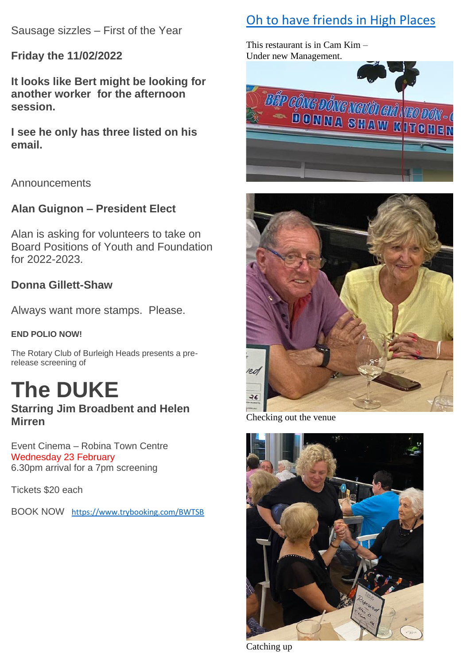Sausage sizzles – First of the Year

**Friday the 11/02/2022**

**It looks like Bert might be looking for another worker for the afternoon session.**

**I see he only has three listed on his email.**

Announcements

#### **Alan Guignon – President Elect**

Alan is asking for volunteers to take on Board Positions of Youth and Foundation for 2022-2023.

#### **Donna Gillett-Shaw**

Always want more stamps. Please.

#### **END POLIO NOW!**

The Rotary Club of Burleigh Heads presents a prerelease screening of

# **The DUKE**

#### **Starring Jim Broadbent and Helen Mirren**

Event Cinema – Robina Town Centre Wednesday 23 February 6.30pm arrival for a 7pm screening

Tickets \$20 each

BOOK NOW <https://www.trybooking.com/BWTSB>

### Oh to have friends in High Places

This restaurant is in Cam Kim – Under new Management.





Checking out the venue



Catching up